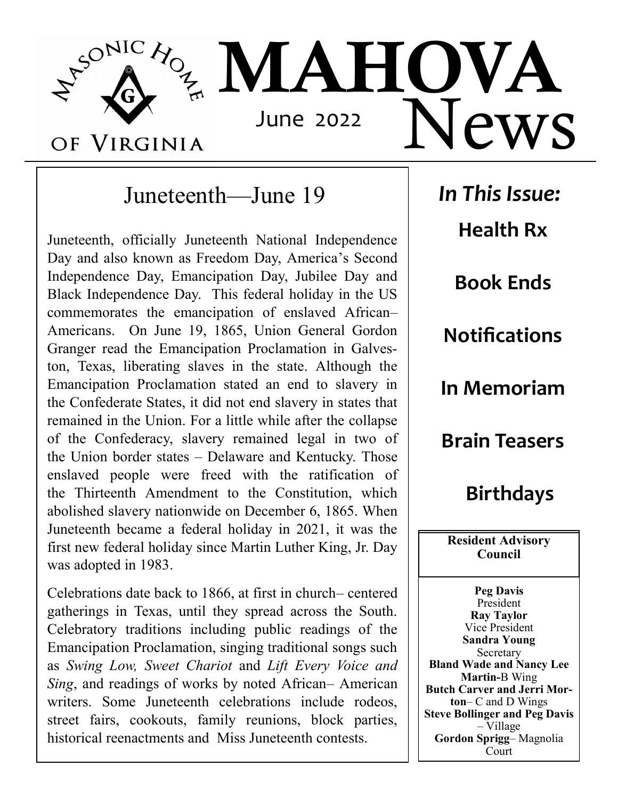

# Juneteenth—June 19

Juneteenth, officially Juneteenth National Independence Day and also known as Freedom Day, America's Second Independence Day, Emancipation Day, Jubilee Day and Black Independence Day. This federal holiday in the US commemorates the emancipation of enslaved African– Americans. On June 19, 1865, Union General Gordon Granger read the Emancipation Proclamation in Galveston, Texas, liberating slaves in the state. Although the Emancipation Proclamation stated an end to slavery in the Confederate States, it did not end slavery in states that remained in the Union. For a little while after the collapse of the Confederacy, slavery remained legal in two of the Union border states – Delaware and Kentucky. Those enslaved people were freed with the ratification of the Thirteenth Amendment to the Constitution, which abolished slavery nationwide on December 6, 1865. When Juneteenth became a federal holiday in 2021, it was the first new federal holiday since Martin Luther King, Jr. Day was adopted in 1983.

Celebrations date back to 1866, at first in church– centered gatherings in Texas, until they spread across the South. Celebratory traditions including public readings of the Emancipation Proclamation, singing traditional songs such as *Swing Low, Sweet Chariot* and *Lift Every Voice and Sing*, and readings of works by noted African– American writers. Some Juneteenth celebrations include rodeos, street fairs, cookouts, family reunions, block parties, historical reenactments and Miss Juneteenth contests.

*In This Issue:* **Health Rx Book Ends Notifications In Memoriam Brain Teasers Birthdays Resident Advisory Council**

**Peg Davis** President **Ray Taylor** Vice President **Sandra Young**  Secretary **Bland Wade and Nancy Lee Martin-**B Wing **Butch Carver and Jerri Morton**– C and D Wings **Steve Bollinger and Peg Davis** – Village **Gordon Sprigg**– Magnolia Court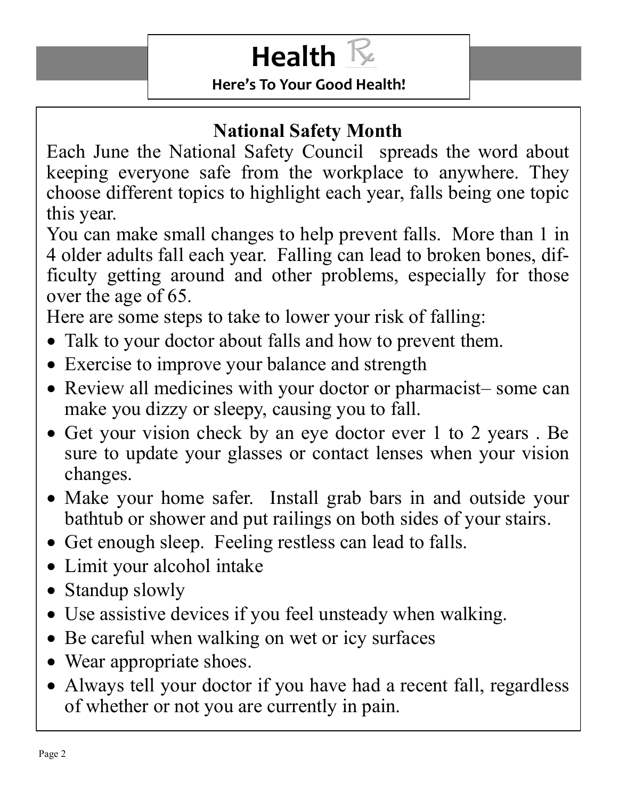# **Health**  $\mathbb{R}$

**Here's To Your Good Health!**

# **National Safety Month**

Each June the National Safety Council spreads the word about keeping everyone safe from the workplace to anywhere. They choose different topics to highlight each year, falls being one topic this year.

You can make small changes to help prevent falls. More than 1 in 4 older adults fall each year. Falling can lead to broken bones, difficulty getting around and other problems, especially for those over the age of 65.

Here are some steps to take to lower your risk of falling:

- Talk to your doctor about falls and how to prevent them.
- Exercise to improve your balance and strength
- Review all medicines with your doctor or pharmacist– some can make you dizzy or sleepy, causing you to fall.
- Get your vision check by an eye doctor ever 1 to 2 years . Be sure to update your glasses or contact lenses when your vision changes.
- Make your home safer. Install grab bars in and outside your bathtub or shower and put railings on both sides of your stairs.
- Get enough sleep. Feeling restless can lead to falls.
- Limit your alcohol intake
- Standup slowly
- Use assistive devices if you feel unsteady when walking.
- Be careful when walking on wet or icy surfaces
- Wear appropriate shoes.
- Always tell your doctor if you have had a recent fall, regardless of whether or not you are currently in pain.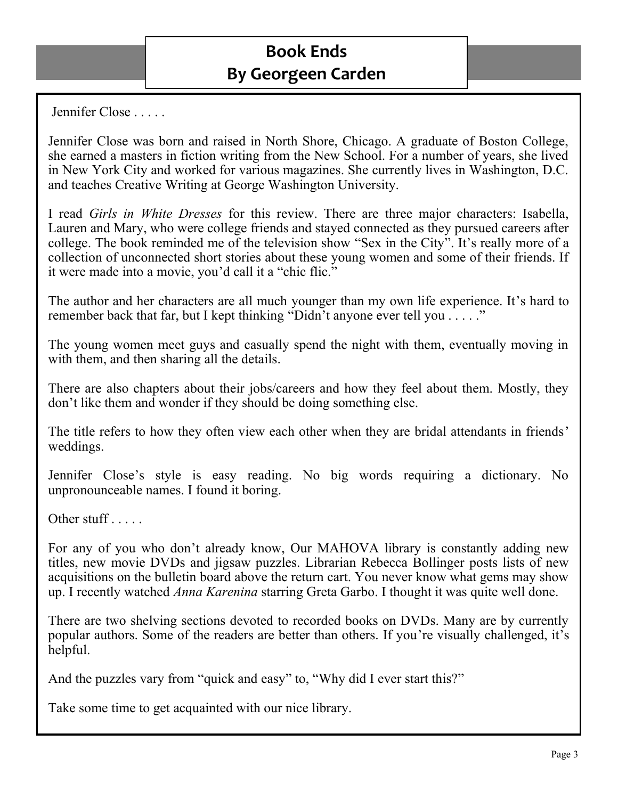Jennifer Close . . . . .

Jennifer Close was born and raised in North Shore, Chicago. A graduate of Boston College, she earned a masters in fiction writing from the New School. For a number of years, she lived in New York City and worked for various magazines. She currently lives in Washington, D.C. and teaches Creative Writing at George Washington University.

I read *Girls in White Dresses* for this review. There are three major characters: Isabella, Lauren and Mary, who were college friends and stayed connected as they pursued careers after college. The book reminded me of the television show "Sex in the City". It's really more of a collection of unconnected short stories about these young women and some of their friends. If it were made into a movie, you'd call it a "chic flic."

The author and her characters are all much younger than my own life experience. It's hard to remember back that far, but I kept thinking "Didn't anyone ever tell you . . . . ."

The young women meet guys and casually spend the night with them, eventually moving in with them, and then sharing all the details.

There are also chapters about their jobs/careers and how they feel about them. Mostly, they don't like them and wonder if they should be doing something else.

The title refers to how they often view each other when they are bridal attendants in friends' weddings.

Jennifer Close's style is easy reading. No big words requiring a dictionary. No unpronounceable names. I found it boring.

Other stuff . . . . .

For any of you who don't already know, Our MAHOVA library is constantly adding new titles, new movie DVDs and jigsaw puzzles. Librarian Rebecca Bollinger posts lists of new acquisitions on the bulletin board above the return cart. You never know what gems may show up. I recently watched *Anna Karenina* starring Greta Garbo. I thought it was quite well done.

There are two shelving sections devoted to recorded books on DVDs. Many are by currently popular authors. Some of the readers are better than others. If you're visually challenged, it's helpful.

And the puzzles vary from "quick and easy" to, "Why did I ever start this?"

Take some time to get acquainted with our nice library.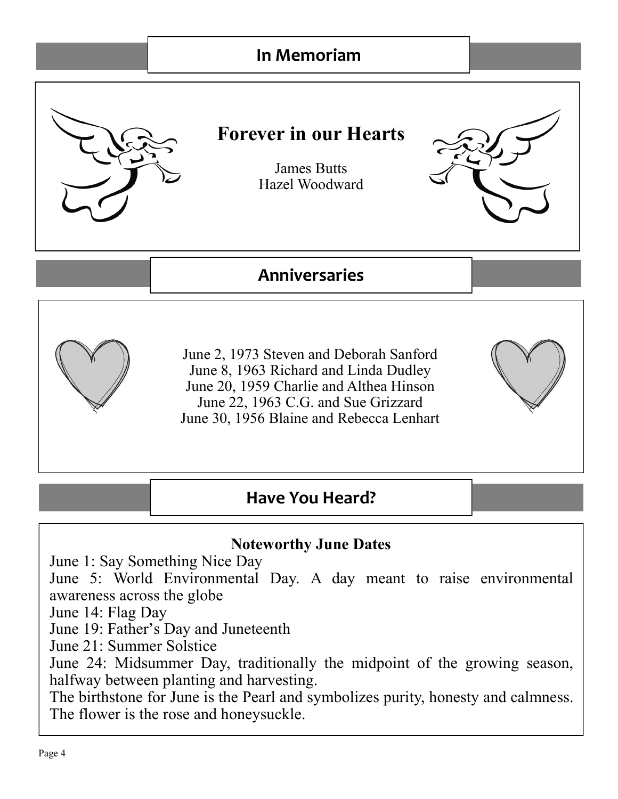## **In Memoriam**



#### **Noteworthy June Dates**

June 1: Say Something Nice Day

June 5: World Environmental Day. A day meant to raise environmental awareness across the globe

June 14: Flag Day

June 19: Father's Day and Juneteenth

June 21: Summer Solstice

June 24: Midsummer Day, traditionally the midpoint of the growing season, halfway between planting and harvesting.

The birthstone for June is the Pearl and symbolizes purity, honesty and calmness. The flower is the rose and honeysuckle.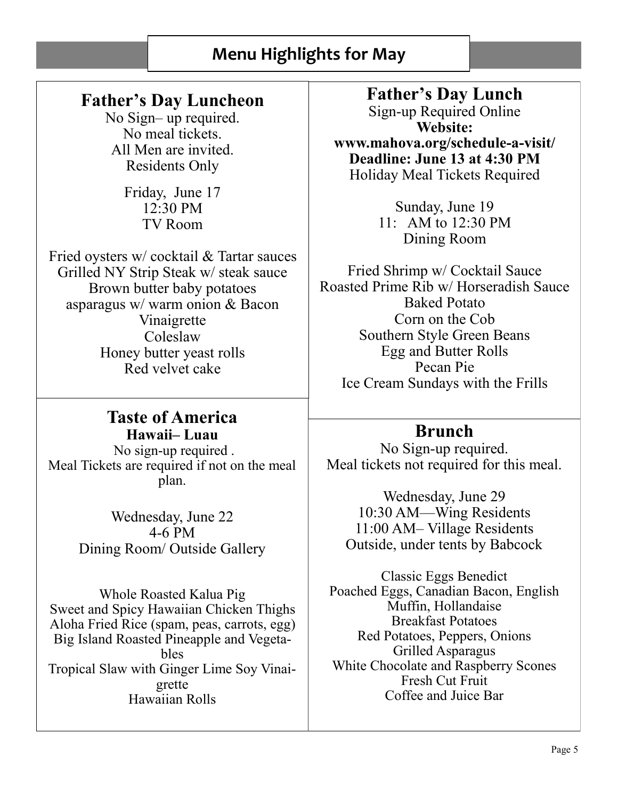#### **Menu Highlights for May**

## **Father's Day Luncheon**

No Sign– up required. No meal tickets. All Men are invited. Residents Only

> Friday, June 17 12:30 PM TV Room

Fried oysters w/ cocktail & Tartar sauces Grilled NY Strip Steak w/ steak sauce Brown butter baby potatoes asparagus w/ warm onion & Bacon Vinaigrette Coleslaw Honey butter yeast rolls Red velvet cake

#### **Taste of America Hawaii– Luau**

No sign-up required . Meal Tickets are required if not on the meal plan.

> Wednesday, June 22 4-6 PM Dining Room/ Outside Gallery

Whole Roasted Kalua Pig Sweet and Spicy Hawaiian Chicken Thighs Aloha Fried Rice (spam, peas, carrots, egg) Big Island Roasted Pineapple and Vegetables Tropical Slaw with Ginger Lime Soy Vinaigrette Hawaiian Rolls

**Father's Day Lunch**  Sign-up Required Online **Website: www.mahova.org/schedule-a-visit/ Deadline: June 13 at 4:30 PM** Holiday Meal Tickets Required

> Sunday, June 19 11: AM to 12:30 PM Dining Room

Fried Shrimp w/ Cocktail Sauce Roasted Prime Rib w/ Horseradish Sauce Baked Potato Corn on the Cob Southern Style Green Beans Egg and Butter Rolls Pecan Pie Ice Cream Sundays with the Frills

#### **Brunch**

No Sign-up required. Meal tickets not required for this meal.

Wednesday, June 29 10:30 AM—Wing Residents 11:00 AM– Village Residents Outside, under tents by Babcock

Classic Eggs Benedict Poached Eggs, Canadian Bacon, English Muffin, Hollandaise Breakfast Potatoes Red Potatoes, Peppers, Onions Grilled Asparagus White Chocolate and Raspberry Scones Fresh Cut Fruit Coffee and Juice Bar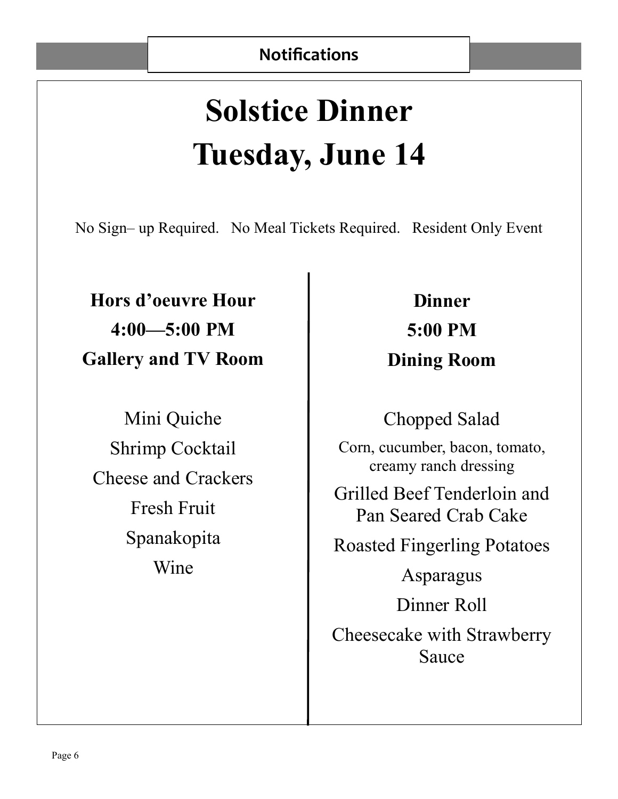# **Solstice Dinner Tuesday, June 14**

No Sign– up Required. No Meal Tickets Required. Resident Only Event

**Hors d'oeuvre Hour 4:00—5:00 PM Gallery and TV Room** 

Mini Quiche Shrimp Cocktail Cheese and Crackers Fresh Fruit Spanakopita Wine

**Dinner 5:00 PM Dining Room** 

Chopped Salad

Corn, cucumber, bacon, tomato, creamy ranch dressing

Grilled Beef Tenderloin and Pan Seared Crab Cake

Roasted Fingerling Potatoes

Asparagus

Dinner Roll

Cheesecake with Strawberry Sauce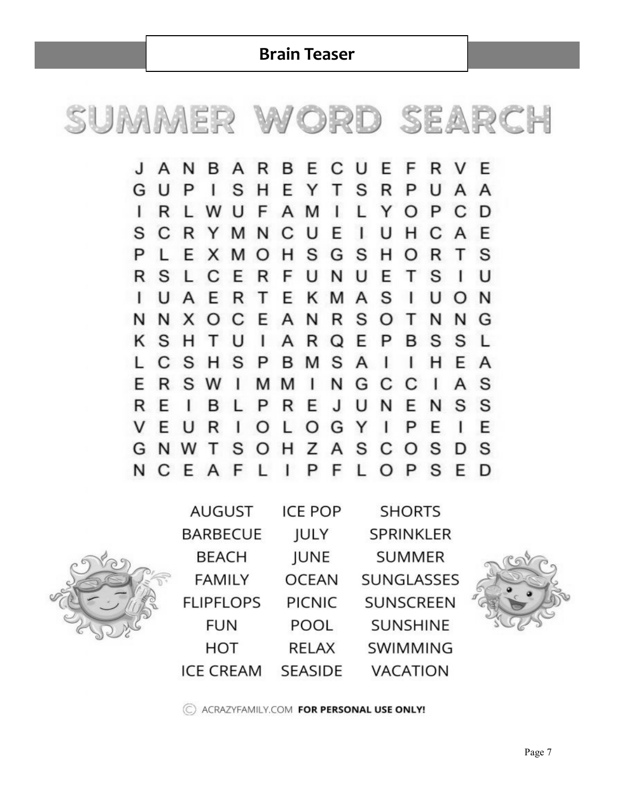**Brain Teaser**



**RBE** CUE **JANBA** F R F V S S  $H$ E Y  $T$ UAA GUP  $\mathbf{I}$ R P M  $\mathbf{I}$  $\mathbf{I}$ R W U F A Y P C L L  $\circ$ D N C U E  $\mathbf{I}$ U S C R Y M  $H$ C E A S E  $H$ G S P L X M  $\circ$ Н R т S O S  $\mathsf{R}$ F U N U E Т S R C E L I U U A E  $\mathsf{R}$ T E K M  $\overline{A}$ S  $\mathbf{I}$ U  $\mathsf{I}$ N O E  $\mathsf{A}$ N  $R$ S N  $N$ X O C O т N N G K S H  $\mathsf{I}$ E T U A R  $\Omega$ P S S B L  $\mathsf{C}$ S  $H$ S M S  $\overline{A}$  $\mathbf{I}$ L н E. P B L A F R S W M M  $\mathbf{I}$ N G C C T A S  $\perp$ R E J U N S S P R E N  $\mathbf{I}$ B L F T  $\circ$ L  $\circ$ G Y V E P U R  $\mathbf{I}$ E L E G N W т S  $\circ$  $H$ Ζ A S S D<sub>S</sub> C  $\circ$ N  $\circ$ C E  $\mathsf{A}$ F L  $\mathbf{I}$ P F L P S E D



| <b>AUGUST</b>    | <b>ICE POP</b> | <b>SHORTS</b>    |
|------------------|----------------|------------------|
| <b>BARBECUE</b>  | JULY           | <b>SPRINKLER</b> |
| <b>BEACH</b>     | <b>JUNE</b>    | <b>SUMMER</b>    |
| <b>FAMILY</b>    | <b>OCEAN</b>   | SUNGLASSES       |
| <b>FLIPFLOPS</b> | <b>PICNIC</b>  | <b>SUNSCREEN</b> |
| <b>FUN</b>       | POOL           | <b>SUNSHINE</b>  |
| HOT              | <b>RELAX</b>   | SWIMMING         |
| <b>ICE CREAM</b> | <b>SEASIDE</b> | <b>VACATION</b>  |



C ACRAZYFAMILY.COM FOR PERSONAL USE ONLY!